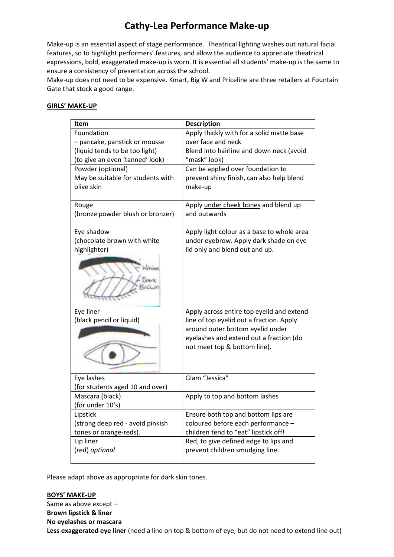# **Cathy-Lea Performance Make-up**

Make-up is an essential aspect of stage performance. Theatrical lighting washes out natural facial features, so to highlight performers' features, and allow the audience to appreciate theatrical expressions, bold, exaggerated make-up is worn. It is essential all students' make-up is the same to ensure a consistency of presentation across the school.

Make-up does not need to be expensive. Kmart, Big W and Priceline are three retailers at Fountain Gate that stock a good range.

### **GIRLS' MAKE-UP**

| Item                              | <b>Description</b>                         |
|-----------------------------------|--------------------------------------------|
| Foundation                        | Apply thickly with for a solid matte base  |
| - pancake, panstick or mousse     | over face and neck                         |
| (liquid tends to be too light)    | Blend into hairline and down neck (avoid   |
| (to give an even 'tanned' look)   | "mask" look)                               |
| Powder (optional)                 | Can be applied over foundation to          |
| May be suitable for students with | prevent shiny finish, can also help blend  |
| olive skin                        | make-up                                    |
| Rouge                             | Apply under cheek bones and blend up       |
| (bronze powder blush or bronzer)  | and outwards                               |
| Eye shadow                        | Apply light colour as a base to whole area |
| (chocolate brown with white       | under eyebrow. Apply dark shade on eye     |
| highlighter)                      | lid only and blend out and up.             |
|                                   |                                            |
| Eye liner                         | Apply across entire top eyelid and extend  |
| (black pencil or liquid)          | line of top eyelid out a fraction. Apply   |
|                                   | around outer bottom eyelid under           |
|                                   | eyelashes and extend out a fraction (do    |
|                                   | not meet top & bottom line).               |
|                                   |                                            |
| Eye lashes                        | Glam "Jessica"                             |
| (for students aged 10 and over)   |                                            |
| Mascara (black)                   | Apply to top and bottom lashes             |
| (for under 10's)                  |                                            |
| Lipstick                          | Ensure both top and bottom lips are        |
| (strong deep red - avoid pinkish  | coloured before each performance -         |
| tones or orange-reds).            | children tend to "eat" lipstick off!       |
| Lip liner                         | Red, to give defined edge to lips and      |
| (red) optional                    | prevent children smudging line.            |
|                                   |                                            |

Please adapt above as appropriate for dark skin tones.

**BOYS' MAKE-UP** Same as above except – **Brown lipstick & liner No eyelashes or mascara Less exaggerated eye liner** (need a line on top & bottom of eye, but do not need to extend line out)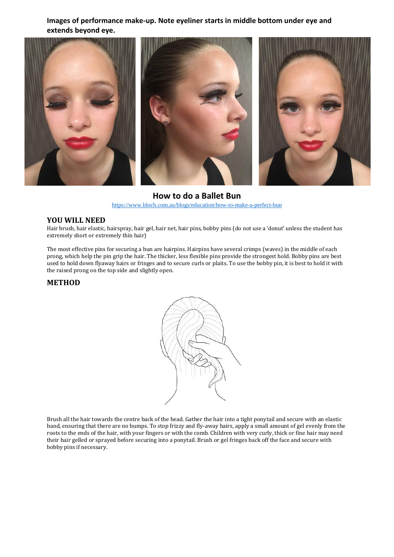**Images of performance make-up. Note eyeliner starts in middle bottom under eye and extends beyond eye.**



**How to do a Ballet Bun** <https://www.bloch.com.au/blogs/education/how-to-make-a-perfect-bun>

#### **YOU WILL NEED**

Hair brush, hair elastic, hairspray, hair gel, hair net, hair pins, bobby pins (do not use a 'donut' unless the student has extremely short or extremely thin hair)

The most effective pins for securing a bun are hairpins. Hairpins have several crimps (waves) in the middle of each prong, which help the pin grip the hair. The thicker, less flexible pins provide the strongest hold. Bobby pins are best used to hold down flyaway hairs or fringes and to secure curls or plaits. To use the bobby pin, it is best to hold it with the raised prong on the top side and slightly open.

#### **METHOD**



Brush all the hair towards the centre back of the head. Gather the hair into a tight ponytail and secure with an elastic band, ensuring that there are no bumps. To stop frizzy and fly-away hairs, apply a small amount of gel evenly from the roots to the ends of the hair, with your fingers or with the comb. Children with very curly, thick or fine hair may need their hair gelled or sprayed before securing into a ponytail. Brush or gel fringes back off the face and secure with bobby pins if necessary.